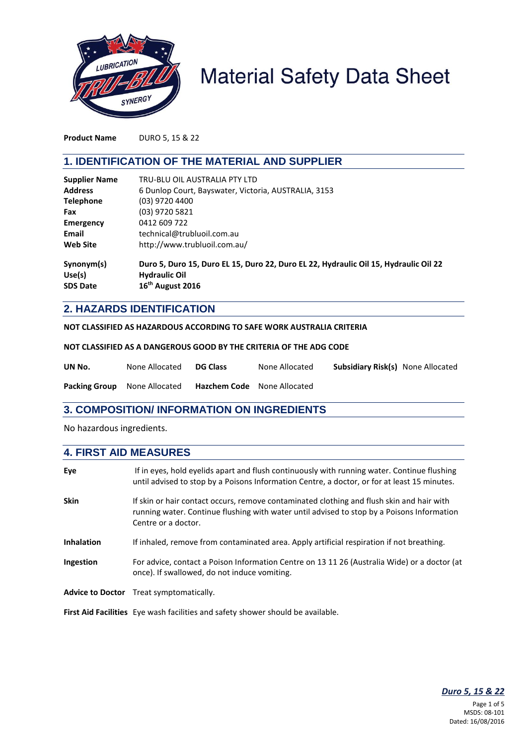

# **Material Safety Data Sheet**

**Product Name** DURO 5, 15 & 22

## **1. IDENTIFICATION OF THE MATERIAL AND SUPPLIER**

| <b>Supplier Name</b> | TRU-BLU OIL AUSTRALIA PTY LTD                                                        |  |  |
|----------------------|--------------------------------------------------------------------------------------|--|--|
| <b>Address</b>       | 6 Dunlop Court, Bayswater, Victoria, AUSTRALIA, 3153                                 |  |  |
| <b>Telephone</b>     | (03) 9720 4400                                                                       |  |  |
| Fax                  | (03) 9720 5821                                                                       |  |  |
| <b>Emergency</b>     | 0412 609 722                                                                         |  |  |
| Email                | technical@trubluoil.com.au                                                           |  |  |
| <b>Web Site</b>      | http://www.trubluoil.com.au/                                                         |  |  |
| Synonym(s)           | Duro 5, Duro 15, Duro EL 15, Duro 22, Duro EL 22, Hydraulic Oil 15, Hydraulic Oil 22 |  |  |
| Use(s)               | <b>Hydraulic Oil</b>                                                                 |  |  |
| <b>SDS Date</b>      | 16 <sup>th</sup> August 2016                                                         |  |  |

## **2. HAZARDS IDENTIFICATION**

**NOT CLASSIFIED AS HAZARDOUS ACCORDING TO SAFE WORK AUSTRALIA CRITERIA**

#### **NOT CLASSIFIED AS A DANGEROUS GOOD BY THE CRITERIA OF THE ADG CODE**

| UN No. | None Allocated                      | <b>DG Class</b>                    | None Allocated | <b>Subsidiary Risk(s)</b> None Allocated |  |
|--------|-------------------------------------|------------------------------------|----------------|------------------------------------------|--|
|        | <b>Packing Group</b> None Allocated | <b>Hazchem Code</b> None Allocated |                |                                          |  |

## **3. COMPOSITION/ INFORMATION ON INGREDIENTS**

No hazardous ingredients.

## **4. FIRST AID MEASURES**

| Eye               | If in eyes, hold eyelids apart and flush continuously with running water. Continue flushing<br>until advised to stop by a Poisons Information Centre, a doctor, or for at least 15 minutes.                    |
|-------------------|----------------------------------------------------------------------------------------------------------------------------------------------------------------------------------------------------------------|
| <b>Skin</b>       | If skin or hair contact occurs, remove contaminated clothing and flush skin and hair with<br>running water. Continue flushing with water until advised to stop by a Poisons Information<br>Centre or a doctor. |
| <b>Inhalation</b> | If inhaled, remove from contaminated area. Apply artificial respiration if not breathing.                                                                                                                      |
| Ingestion         | For advice, contact a Poison Information Centre on 13 11 26 (Australia Wide) or a doctor (at<br>once). If swallowed, do not induce vomiting.                                                                   |
|                   | <b>Advice to Doctor</b> Treat symptomatically.                                                                                                                                                                 |
|                   | <b>First Aid Facilities</b> Eye wash facilities and safety shower should be available.                                                                                                                         |

*Duro 5, 15 & 22*

Page 1 of 5 MSDS: 08-101 Dated: 16/08/2016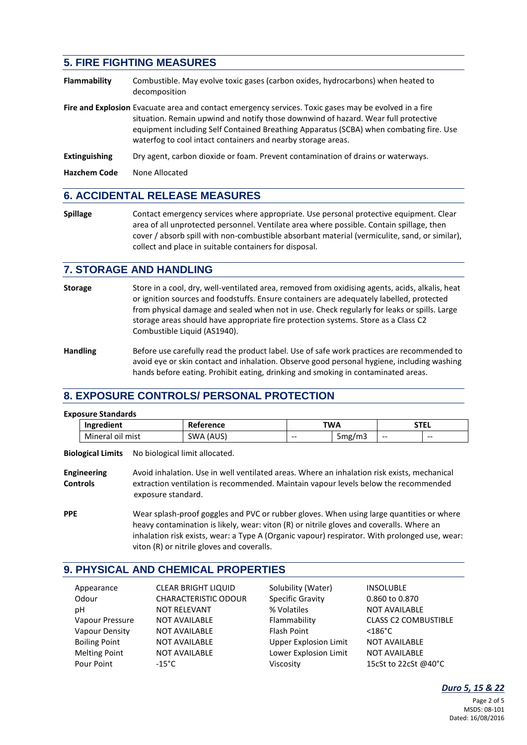# **5. FIRE FIGHTING MEASURES**

**Flammability** Combustible. May evolve toxic gases (carbon oxides, hydrocarbons) when heated to decomposition

**Fire and Explosion** Evacuate area and contact emergency services. Toxic gases may be evolved in a fire situation. Remain upwind and notify those downwind of hazard. Wear full protective equipment including Self Contained Breathing Apparatus (SCBA) when combating fire. Use waterfog to cool intact containers and nearby storage areas.

**Extinguishing** Dry agent, carbon dioxide or foam. Prevent contamination of drains or waterways.

**Hazchem Code** None Allocated

## **6. ACCIDENTAL RELEASE MEASURES**

**Spillage** Contact emergency services where appropriate. Use personal protective equipment. Clear area of all unprotected personnel. Ventilate area where possible. Contain spillage, then cover / absorb spill with non-combustible absorbant material (vermiculite, sand, or similar), collect and place in suitable containers for disposal.

## **7. STORAGE AND HANDLING**

- **Storage** Store in a cool, dry, well-ventilated area, removed from oxidising agents, acids, alkalis, heat or ignition sources and foodstuffs. Ensure containers are adequately labelled, protected from physical damage and sealed when not in use. Check regularly for leaks or spills. Large storage areas should have appropriate fire protection systems. Store as a Class C2 Combustible Liquid (AS1940).
- **Handling** Before use carefully read the product label. Use of safe work practices are recommended to avoid eye or skin contact and inhalation. Observe good personal hygiene, including washing hands before eating. Prohibit eating, drinking and smoking in contaminated areas.

# **8. EXPOSURE CONTROLS/ PERSONAL PROTECTION**

#### **Exposure Standards**

| _____________________________ |                |       |        |              |       |
|-------------------------------|----------------|-------|--------|--------------|-------|
| dient<br>Ingre                | Reference      | TWA   |        | CTD.<br>JIEL |       |
| Mineral<br>mist<br>OII        | . (AUS)<br>SWA | $- -$ | 5mg/m3 | $- -$        | $- -$ |

**Biological Limits** No biological limit allocated.

**Engineering** Avoid inhalation. Use in well ventilated areas. Where an inhalation risk exists, mechanical **Controls** extraction ventilation is recommended. Maintain vapour levels below the recommended exposure standard.

**PPE** Wear splash-proof goggles and PVC or rubber gloves. When using large quantities or where heavy contamination is likely, wear: viton (R) or nitrile gloves and coveralls. Where an inhalation risk exists, wear: a Type A (Organic vapour) respirator. With prolonged use, wear: viton (R) or nitrile gloves and coveralls.

## **9. PHYSICAL AND CHEMICAL PROPERTIES**

| Appearance           | <b>CLEAR BRIGHT LIQUID</b>  | Solubility (Water)           | <b>INSOLUBLE</b>            |
|----------------------|-----------------------------|------------------------------|-----------------------------|
| Odour                | <b>CHARACTERISTIC ODOUR</b> | <b>Specific Gravity</b>      | 0.860 to 0.870              |
| рH                   | <b>NOT RELEVANT</b>         | % Volatiles                  | <b>NOT AVAILABLE</b>        |
| Vapour Pressure      | <b>NOT AVAILABLE</b>        | Flammability                 | <b>CLASS C2 COMBUSTIBLE</b> |
| Vapour Density       | <b>NOT AVAILABLE</b>        | <b>Flash Point</b>           | $< 186^{\circ}$ C           |
| <b>Boiling Point</b> | <b>NOT AVAILABLE</b>        | <b>Upper Explosion Limit</b> | <b>NOT AVAILABLE</b>        |
| <b>Melting Point</b> | <b>NOT AVAILABLE</b>        | Lower Explosion Limit        | <b>NOT AVAILABLE</b>        |
| Pour Point           | $-15^{\circ}$ C             | Viscosity                    | 15cSt to 22cSt @40°C        |
|                      |                             |                              |                             |

*Duro 5, 15 & 22*

Page 2 of 5 MSDS: 08-101 Dated: 16/08/2016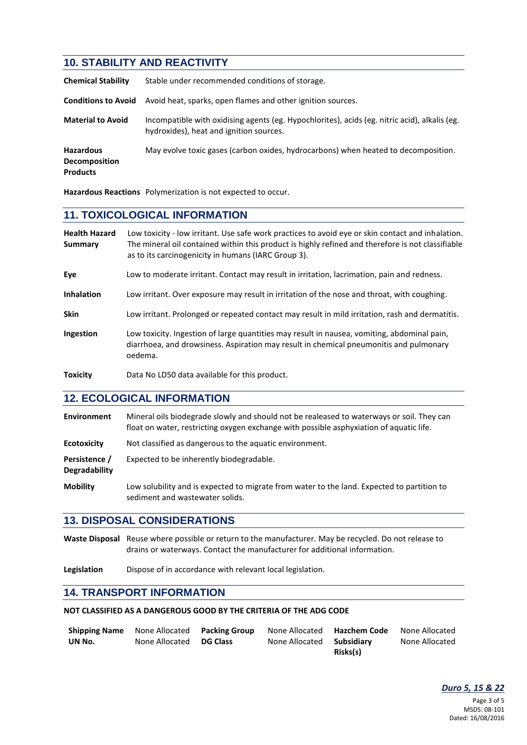# **10. STABILITY AND REACTIVITY**

| <b>Chemical Stability</b>                                   | Stable under recommended conditions of storage.                                                                                          |
|-------------------------------------------------------------|------------------------------------------------------------------------------------------------------------------------------------------|
| <b>Conditions to Avoid</b>                                  | Avoid heat, sparks, open flames and other ignition sources.                                                                              |
| <b>Material to Avoid</b>                                    | Incompatible with oxidising agents (eg. Hypochlorites), acids (eg. nitric acid), alkalis (eg.<br>hydroxides), heat and ignition sources. |
| <b>Hazardous</b><br><b>Decomposition</b><br><b>Products</b> | May evolve toxic gases (carbon oxides, hydrocarbons) when heated to decomposition.                                                       |

**Hazardous Reactions** Polymerization is not expected to occur.

## **11. TOXICOLOGICAL INFORMATION**

| <b>Health Hazard</b><br>Summary | Low toxicity - low irritant. Use safe work practices to avoid eye or skin contact and inhalation.<br>The mineral oil contained within this product is highly refined and therefore is not classifiable<br>as to its carcinogenicity in humans (IARC Group 3). |
|---------------------------------|---------------------------------------------------------------------------------------------------------------------------------------------------------------------------------------------------------------------------------------------------------------|
| Eye                             | Low to moderate irritant. Contact may result in irritation, lacrimation, pain and redness.                                                                                                                                                                    |
| <b>Inhalation</b>               | Low irritant. Over exposure may result in irritation of the nose and throat, with coughing.                                                                                                                                                                   |
| <b>Skin</b>                     | Low irritant. Prolonged or repeated contact may result in mild irritation, rash and dermatitis.                                                                                                                                                               |
| Ingestion                       | Low toxicity. Ingestion of large quantities may result in nausea, vomiting, abdominal pain,<br>diarrhoea, and drowsiness. Aspiration may result in chemical pneumonitis and pulmonary<br>oedema.                                                              |

**Toxicity** Data No LD50 data available for this product.

## **12. ECOLOGICAL INFORMATION**

| <b>Environment</b>                    | Mineral oils biodegrade slowly and should not be realeased to waterways or soil. They can<br>float on water, restricting oxygen exchange with possible asphyxiation of aquatic life. |
|---------------------------------------|--------------------------------------------------------------------------------------------------------------------------------------------------------------------------------------|
| <b>Ecotoxicity</b>                    | Not classified as dangerous to the aquatic environment.                                                                                                                              |
| Persistence /<br><b>Degradability</b> | Expected to be inherently biodegradable.                                                                                                                                             |
| <b>Mobility</b>                       | Low solubility and is expected to migrate from water to the land. Expected to partition to<br>sediment and wastewater solids.                                                        |

### **13. DISPOSAL CONSIDERATIONS**

**Waste Disposal** Reuse where possible or return to the manufacturer. May be recycled. Do not release to drains or waterways. Contact the manufacturer for additional information.

**Legislation** Dispose of in accordance with relevant local legislation.

## **14. TRANSPORT INFORMATION**

#### **NOT CLASSIFIED AS A DANGEROUS GOOD BY THE CRITERIA OF THE ADG CODE**

| <b>Shipping Name</b> | None Allocated Packing Group | None Allocated Hazchem Code |          | None Allocated |
|----------------------|------------------------------|-----------------------------|----------|----------------|
| UN No.               | None Allocated DG Class      | None Allocated Subsidiary   |          | None Allocated |
|                      |                              |                             | Risks(s) |                |

*Duro 5, 15 & 22*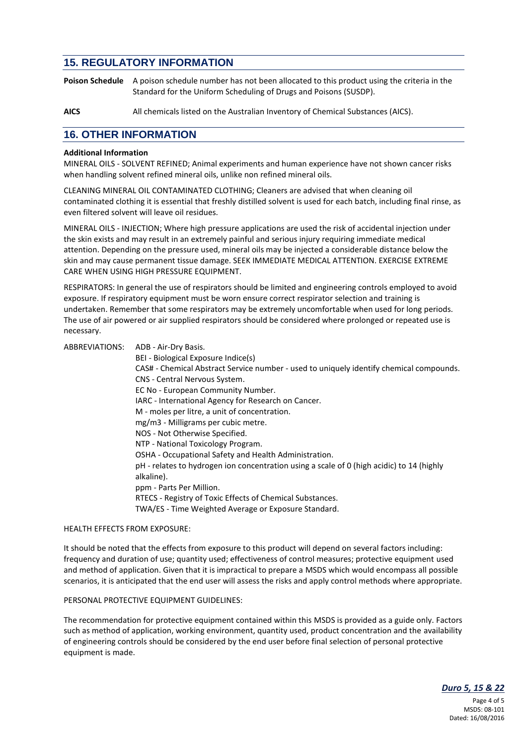# **15. REGULATORY INFORMATION**

**Poison Schedule** A poison schedule number has not been allocated to this product using the criteria in the Standard for the Uniform Scheduling of Drugs and Poisons (SUSDP).

**AICS** All chemicals listed on the Australian Inventory of Chemical Substances (AICS).

## **16. OTHER INFORMATION**

#### **Additional Information**

MINERAL OILS - SOLVENT REFINED; Animal experiments and human experience have not shown cancer risks when handling solvent refined mineral oils, unlike non refined mineral oils.

CLEANING MINERAL OIL CONTAMINATED CLOTHING; Cleaners are advised that when cleaning oil contaminated clothing it is essential that freshly distilled solvent is used for each batch, including final rinse, as even filtered solvent will leave oil residues.

MINERAL OILS - INJECTION; Where high pressure applications are used the risk of accidental injection under the skin exists and may result in an extremely painful and serious injury requiring immediate medical attention. Depending on the pressure used, mineral oils may be injected a considerable distance below the skin and may cause permanent tissue damage. SEEK IMMEDIATE MEDICAL ATTENTION. EXERCISE EXTREME CARE WHEN USING HIGH PRESSURE EQUIPMENT.

RESPIRATORS: In general the use of respirators should be limited and engineering controls employed to avoid exposure. If respiratory equipment must be worn ensure correct respirator selection and training is undertaken. Remember that some respirators may be extremely uncomfortable when used for long periods. The use of air powered or air supplied respirators should be considered where prolonged or repeated use is necessary.

ABBREVIATIONS: ADB - Air-Dry Basis.

| BEI - Biological Exposure Indice(s)                                                       |
|-------------------------------------------------------------------------------------------|
| CAS# - Chemical Abstract Service number - used to uniquely identify chemical compounds.   |
| CNS - Central Nervous System.                                                             |
| EC No - European Community Number.                                                        |
| IARC - International Agency for Research on Cancer.                                       |
| M - moles per litre, a unit of concentration.                                             |
| mg/m3 - Milligrams per cubic metre.                                                       |
| NOS - Not Otherwise Specified.                                                            |
| NTP - National Toxicology Program.                                                        |
| OSHA - Occupational Safety and Health Administration.                                     |
| pH - relates to hydrogen ion concentration using a scale of 0 (high acidic) to 14 (highly |
| alkaline).                                                                                |
| ppm - Parts Per Million.                                                                  |
| RTECS - Registry of Toxic Effects of Chemical Substances.                                 |
| TWA/ES - Time Weighted Average or Exposure Standard.                                      |
|                                                                                           |

#### HEALTH EFFECTS FROM EXPOSURE:

It should be noted that the effects from exposure to this product will depend on several factors including: frequency and duration of use; quantity used; effectiveness of control measures; protective equipment used and method of application. Given that it is impractical to prepare a MSDS which would encompass all possible scenarios, it is anticipated that the end user will assess the risks and apply control methods where appropriate.

#### PERSONAL PROTECTIVE EQUIPMENT GUIDELINES:

The recommendation for protective equipment contained within this MSDS is provided as a guide only. Factors such as method of application, working environment, quantity used, product concentration and the availability of engineering controls should be considered by the end user before final selection of personal protective equipment is made.

*Duro 5, 15 & 22*